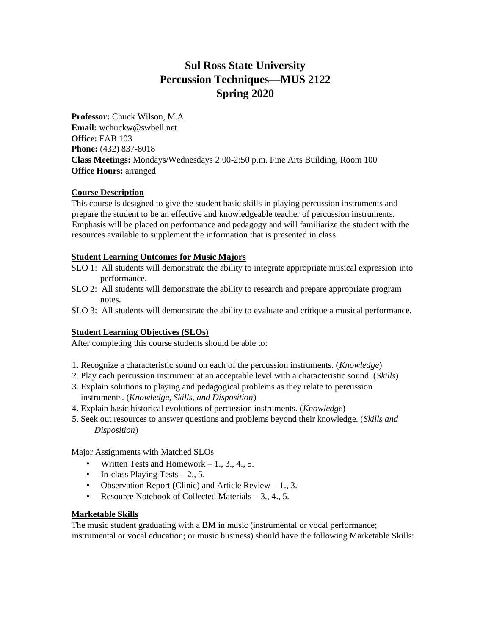# **Sul Ross State University Percussion Techniques—MUS 2122 Spring 2020**

**Professor:** Chuck Wilson, M.A. **Email:** wchuckw@swbell.net **Office:** FAB 103 **Phone:** (432) 837-8018 **Class Meetings:** Mondays/Wednesdays 2:00-2:50 p.m. Fine Arts Building, Room 100 **Office Hours:** arranged

#### **Course Description**

This course is designed to give the student basic skills in playing percussion instruments and prepare the student to be an effective and knowledgeable teacher of percussion instruments. Emphasis will be placed on performance and pedagogy and will familiarize the student with the resources available to supplement the information that is presented in class.

#### **Student Learning Outcomes for Music Majors**

- SLO 1: All students will demonstrate the ability to integrate appropriate musical expression into performance.
- SLO 2: All students will demonstrate the ability to research and prepare appropriate program notes.
- SLO 3: All students will demonstrate the ability to evaluate and critique a musical performance.

# **Student Learning Objectives (SLOs)**

After completing this course students should be able to:

- 1. Recognize a characteristic sound on each of the percussion instruments. (*Knowledge*)
- 2. Play each percussion instrument at an acceptable level with a characteristic sound. (*Skills*)
- 3. Explain solutions to playing and pedagogical problems as they relate to percussion instruments. (*Knowledge, Skills, and Disposition*)
- 4. Explain basic historical evolutions of percussion instruments. (*Knowledge*)
- 5. Seek out resources to answer questions and problems beyond their knowledge. (*Skills and Disposition*)

Major Assignments with Matched SLOs

- Written Tests and Homework  $-1, 3, 4, 5$ .
- In-class Playing Tests  $-2$ , 5.
- Observation Report (Clinic) and Article Review  $-1, 3$ .
- Resource Notebook of Collected Materials 3., 4., 5.

# **Marketable Skills**

The music student graduating with a BM in music (instrumental or vocal performance; instrumental or vocal education; or music business) should have the following Marketable Skills: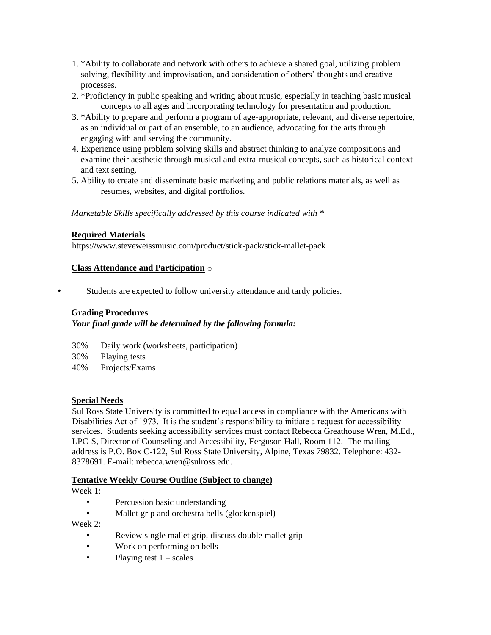- 1. \*Ability to collaborate and network with others to achieve a shared goal, utilizing problem solving, flexibility and improvisation, and consideration of others' thoughts and creative processes.
- 2. \*Proficiency in public speaking and writing about music, especially in teaching basic musical concepts to all ages and incorporating technology for presentation and production.
- 3. \*Ability to prepare and perform a program of age-appropriate, relevant, and diverse repertoire, as an individual or part of an ensemble, to an audience, advocating for the arts through engaging with and serving the community.
- 4. Experience using problem solving skills and abstract thinking to analyze compositions and examine their aesthetic through musical and extra-musical concepts, such as historical context and text setting.
- 5. Ability to create and disseminate basic marketing and public relations materials, as well as resumes, websites, and digital portfolios.

*Marketable Skills specifically addressed by this course indicated with \** 

#### **Required Materials**

https://www.steveweissmusic.com/product/stick-pack/stick-mallet-pack

#### **Class Attendance and Participation** o

Students are expected to follow university attendance and tardy policies.

## **Grading Procedures**

# *Your final grade will be determined by the following formula:*

- 30% Daily work (worksheets, participation)
- 30% Playing tests
- 40% Projects/Exams

#### **Special Needs**

Sul Ross State University is committed to equal access in compliance with the Americans with Disabilities Act of 1973. It is the student's responsibility to initiate a request for accessibility services. Students seeking accessibility services must contact Rebecca Greathouse Wren, M.Ed., LPC-S, Director of Counseling and Accessibility, Ferguson Hall, Room 112. The mailing address is P.O. Box C-122, Sul Ross State University, Alpine, Texas 79832. Telephone: 432- 8378691. E-mail: rebecca.wren@sulross.edu.

#### **Tentative Weekly Course Outline (Subject to change)**

Week 1:

- Percussion basic understanding
- Mallet grip and orchestra bells (glockenspiel)

Week 2:

- Review single mallet grip, discuss double mallet grip
- Work on performing on bells
- Playing test  $1 scales$